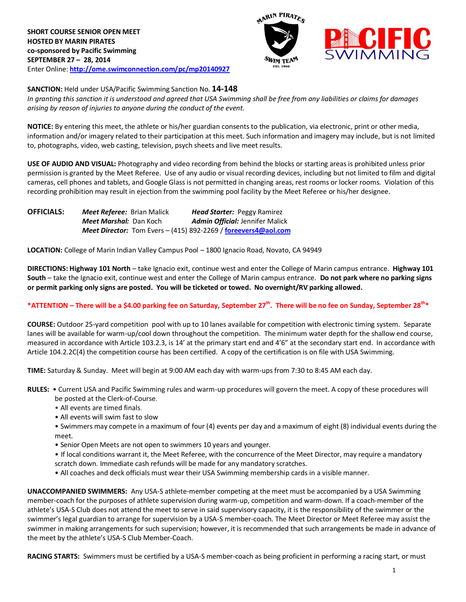



**SANCTION:** Held under USA/Pacific Swimming Sanction No. **14-148**

*In granting this sanction it is understood and agreed that USA Swimming shall be free from any liabilities or claims for damages arising by reason of injuries to anyone during the conduct of the event.*

**NOTICE:** By entering this meet, the athlete or his/her guardian consents to the publication, via electronic, print or other media, information and/or imagery related to their participation at this meet. Such information and imagery may include, but is not limited to, photographs, video, web casting, television, psych sheets and live meet results.

**USE OF AUDIO AND VISUAL:** Photography and video recording from behind the blocks or starting areas is prohibited unless prior permission is granted by the Meet Referee. Use of any audio or visual recording devices, including but not limited to film and digital cameras, cell phones and tablets, and Google Glass is not permitted in changing areas, rest rooms or locker rooms. Violation of this recording prohibition may result in ejection from the swimming pool facility by the Meet Referee or his/her designee.

| <b>OFFICIALS:</b> | <b>Meet Referee:</b> Brian Malick | <b>Head Starter: Peggy Ramirez</b>                             |
|-------------------|-----------------------------------|----------------------------------------------------------------|
|                   | Meet Marshal: Dan Koch            | <b>Admin Official: Jennifer Malick</b>                         |
|                   |                                   | Meet Director: Tom Evers - (415) 892-2269 / foreevers4@aol.com |

**LOCATION:** College of Marin Indian Valley Campus Pool – 1800 Ignacio Road, Novato, CA 94949

**DIRECTIONS: Highway 101 North** – take Ignacio exit, continue west and enter the College of Marin campus entrance. **Highway 101 South** – take the Ignacio exit, continue west and enter the College of Marin campus entrance. **Do not park where no parking signs or permit parking only signs are posted. You will be ticketed or towed. No overnight/RV parking allowed.**

## **\*ATTENTION – There will be a \$4.00 parking fee on Saturday, September 27th . There will be no fee on Sunday, September 28th\***

**COURSE:** Outdoor 25-yard competition pool with up to 10 lanes available for competition with electronic timing system. Separate lanes will be available for warm-up/cool down throughout the competition. The minimum water depth for the shallow end course, measured in accordance with Article 103.2.3, is 14' at the primary start end and 4'6" at the secondary start end. In accordance with Article 104.2.2C(4) the competition course has been certified. A copy of the certification is on file with USA Swimming.

**TIME:** Saturday & Sunday. Meet will begin at 9:00 AM each day with warm-ups from 7:30 to 8:45 AM each day.

**RULES:** • Current USA and Pacific Swimming rules and warm-up procedures will govern the meet. A copy of these procedures will be posted at the Clerk-of-Course.

- All events are timed finals.
- All events will swim fast to slow
- Swimmers may compete in a maximum of four (4) events per day and a maximum of eight (8) individual events during the meet.
- Senior Open Meets are not open to swimmers 10 years and younger.
- If local conditions warrant it, the Meet Referee, with the concurrence of the Meet Director, may require a mandatory
- scratch down. Immediate cash refunds will be made for any mandatory scratches.
- All coaches and deck officials must wear their USA Swimming membership cards in a visible manner.

**UNACCOMPANIED SWIMMERS:** Any USA-S athlete-member competing at the meet must be accompanied by a USA Swimming member-coach for the purposes of athlete supervision during warm-up, competition and warm-down. If a coach-member of the athlete's USA-S Club does not attend the meet to serve in said supervisory capacity, it is the responsibility of the swimmer or the swimmer's legal guardian to arrange for supervision by a USA-S member-coach. The Meet Director or Meet Referee may assist the swimmer in making arrangements for such supervision; however, it is recommended that such arrangements be made in advance of the meet by the athlete's USA-S Club Member-Coach.

**RACING STARTS:** Swimmers must be certified by a USA-S member-coach as being proficient in performing a racing start, or must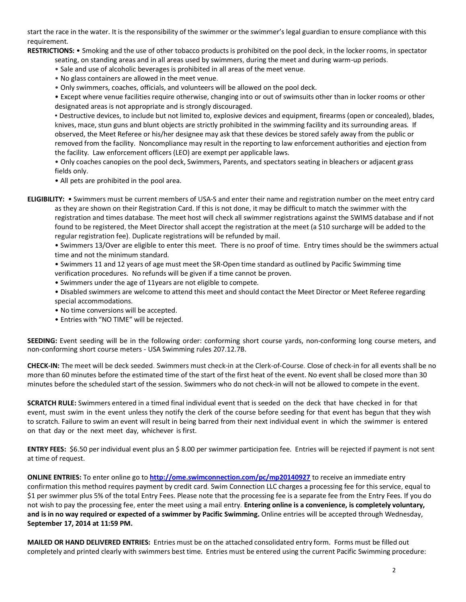start the race in the water. It is the responsibility of the swimmer or the swimmer's legal guardian to ensure compliance with this requirement.

**RESTRICTIONS:** • Smoking and the use of other tobacco products is prohibited on the pool deck, in the locker rooms, in spectator

seating, on standing areas and in all areas used by swimmers, during the meet and during warm-up periods.

• Sale and use of alcoholic beverages is prohibited in all areas of the meet venue.

- No glass containers are allowed in the meet venue.
- Only swimmers, coaches, officials, and volunteers will be allowed on the pool deck.

• Except where venue facilities require otherwise, changing into or out of swimsuits other than in locker rooms or other designated areas is not appropriate and is strongly discouraged.

• Destructive devices, to include but not limited to, explosive devices and equipment, firearms (open or concealed), blades, knives, mace, stun guns and blunt objects are strictly prohibited in the swimming facility and its surrounding areas. If observed, the Meet Referee or his/her designee may ask that these devices be stored safely away from the public or removed from the facility. Noncompliance may result in the reporting to law enforcement authorities and ejection from the facility. Law enforcement officers (LEO) are exempt per applicable laws.

• Only coaches canopies on the pool deck, Swimmers, Parents, and spectators seating in bleachers or adjacent grass fields only.

• All pets are prohibited in the pool area.

**ELIGIBILITY:** • Swimmers must be current members of USA-S and enter their name and registration number on the meet entry card as they are shown on their Registration Card. If this is not done, it may be difficult to match the swimmer with the registration and times database. The meet host will check all swimmer registrations against the SWIMS database and if not found to be registered, the Meet Director shall accept the registration at the meet (a \$10 surcharge will be added to the regular registration fee). Duplicate registrations will be refunded by mail.

• Swimmers 13/Over are eligible to enter this meet. There is no proof of time. Entry times should be the swimmers actual time and not the minimum standard.

• Swimmers 11 and 12 years of age must meet the SR-Open time standard as outlined by Pacific Swimming time

- verification procedures. No refunds will be given if a time cannot be proven.
- Swimmers under the age of 11years are not eligible to compete.

• Disabled swimmers are welcome to attend this meet and should contact the Meet Director or Meet Referee regarding special accommodations.

- No time conversions will be accepted.
- Entries with "NO TIME" will be rejected.

**SEEDING:** Event seeding will be in the following order: conforming short course yards, non-conforming long course meters, and non-conforming short course meters - USA Swimming rules 207.12.7B.

**CHECK-IN:** The meet will be deck seeded. Swimmers must check-in at the Clerk-of-Course. Close of check‐in for all events shall be no more than 60 minutes before the estimated time of the start of the first heat of the event. No event shall be closed more than 30 minutes before the scheduled start of the session. Swimmers who do not check-in will not be allowed to compete in the event.

**SCRATCH RULE:** Swimmers entered in a timed final individual event that is seeded on the deck that have checked in for that event, must swim in the event unless they notify the clerk of the course before seeding for that event has begun that they wish to scratch. Failure to swim an event will result in being barred from their next individual event in which the swimmer is entered on that day or the next meet day, whichever is first.

**ENTRY FEES:** \$6.50 per individual event plus an \$ 8.00 per swimmer participation fee. Entries will be rejected if payment is not sent at time of request.

**ONLINE ENTRIES:** To enter online go to **<http://ome.swimconnection.com/pc/mp20140927>** to receive an immediate entry confirmation this method requires payment by credit card. Swim Connection LLC charges a processing fee for this service, equal to \$1 per swimmer plus 5% of the total Entry Fees. Please note that the processing fee is a separate fee from the Entry Fees. If you do not wish to pay the processing fee, enter the meet using a mail entry. **Entering online is a convenience, is completely voluntary, and is in no way required or expected of a swimmer by Pacific Swimming.** Online entries will be accepted through Wednesday, **September 17, 2014 at 11:59 PM.**

**MAILED OR HAND DELIVERED ENTRIES:** Entries must be on the attached consolidated entry form. Forms must be filled out completely and printed clearly with swimmers best time. Entries must be entered using the current Pacific Swimming procedure: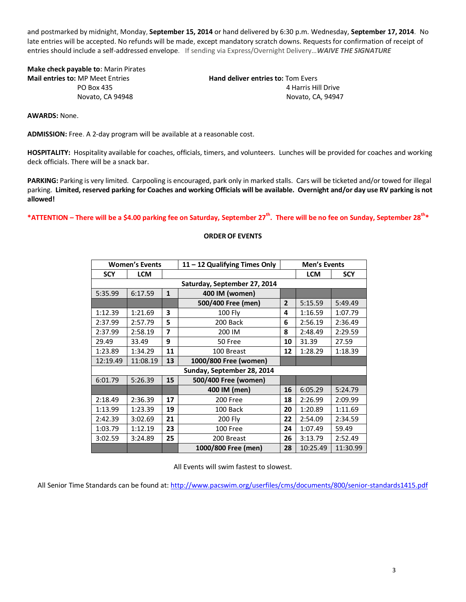and postmarked by midnight, Monday, **September 15, 2014** or hand delivered by 6:30 p.m. Wednesday, **September 17, 2014**. No late entries will be accepted. No refunds will be made, except mandatory scratch downs. Requests for confirmation of receipt of entries should include a self-addressed envelope. If sending via Express/Overnight Delivery…*WAIVE THE SIGNATURE*

**Make check payable to:** Marin Pirates **Mail entries to:** MP Meet Entries **Hand deliver entries to:** Tom Evers

**PO Box 435 1998 1999 1999 1999 1999 1999 1999 1999 1999 1999 1999 1999 1999 1999 1999 1999 1999 1999 1999 1999 1999 1999 1999 1999 1999 1999 1999 1999 1999 1999** Novato, CA 94948 Novato, CA, 94947

**AWARDS:** None.

**ADMISSION:** Free. A 2-day program will be available at a reasonable cost.

**HOSPITALITY:** Hospitality available for coaches, officials, timers, and volunteers. Lunches will be provided for coaches and working deck officials. There will be a snack bar.

**PARKING:** Parking is very limited. Carpooling is encouraged, park only in marked stalls. Cars will be ticketed and/or towed for illegal parking. **Limited, reserved parking for Coaches and working Officials will be available. Overnight and/or day use RV parking is not allowed!**

**\*ATTENTION – There will be a \$4.00 parking fee on Saturday, September 27th . There will be no fee on Sunday, September 28th\***

## **ORDER OF EVENTS**

| <b>Women's Events</b>        |            |              | 11 - 12 Qualifying Times Only |                | <b>Men's Events</b> |          |  |  |  |
|------------------------------|------------|--------------|-------------------------------|----------------|---------------------|----------|--|--|--|
| <b>SCY</b>                   | <b>LCM</b> |              |                               | <b>LCM</b>     | <b>SCY</b>          |          |  |  |  |
| Saturday, September 27, 2014 |            |              |                               |                |                     |          |  |  |  |
| 5:35.99                      | 6:17.59    | $\mathbf{1}$ | 400 IM (women)                |                |                     |          |  |  |  |
|                              |            |              | 500/400 Free (men)            | $\overline{2}$ | 5:15.59             | 5:49.49  |  |  |  |
| 1:12.39                      | 1:21.69    | 3            | <b>100 Fly</b>                | 4              | 1:16.59             | 1:07.79  |  |  |  |
| 2:37.99                      | 2:57.79    | 5            | 200 Back                      | 6              | 2:56.19             | 2:36.49  |  |  |  |
| 2:37.99                      | 2:58.19    | 7            | 200 IM                        | 8              | 2:48.49             | 2:29.59  |  |  |  |
| 29.49                        | 33.49      | 9            | 50 Free                       | 10             | 31.39               | 27.59    |  |  |  |
| 1:23.89                      | 1:34.29    | 11           | 100 Breast                    | 12             | 1:28.29             | 1:18.39  |  |  |  |
| 12:19.49                     | 11:08.19   | 13           | 1000/800 Free (women)         |                |                     |          |  |  |  |
| Sunday, September 28, 2014   |            |              |                               |                |                     |          |  |  |  |
| 6:01.79                      | 5:26.39    | 15           | 500/400 Free (women)          |                |                     |          |  |  |  |
|                              |            |              | 400 IM (men)                  | 16             | 6:05.29             | 5:24.79  |  |  |  |
| 2:18.49                      | 2:36.39    | 17           | 200 Free                      | 18             | 2:26.99             | 2:09.99  |  |  |  |
| 1:13.99                      | 1:23.39    | 19           | 100 Back                      | 20             | 1:20.89             | 1:11.69  |  |  |  |
| 2:42.39                      | 3:02.69    | 21           | <b>200 Fly</b>                | 22             | 2:54.09             | 2:34.59  |  |  |  |
| 1:03.79                      | 1:12.19    | 23           | 100 Free                      |                | 1:07.49             | 59.49    |  |  |  |
| 3:02.59                      | 3:24.89    | 25           | 200 Breast                    |                | 3:13.79             | 2:52.49  |  |  |  |
|                              |            |              | 1000/800 Free (men)           | 28             | 10:25.49            | 11:30.99 |  |  |  |

All Events will swim fastest to slowest.

All Senior Time Standards can be found at:<http://www.pacswim.org/userfiles/cms/documents/800/senior-standards1415.pdf>